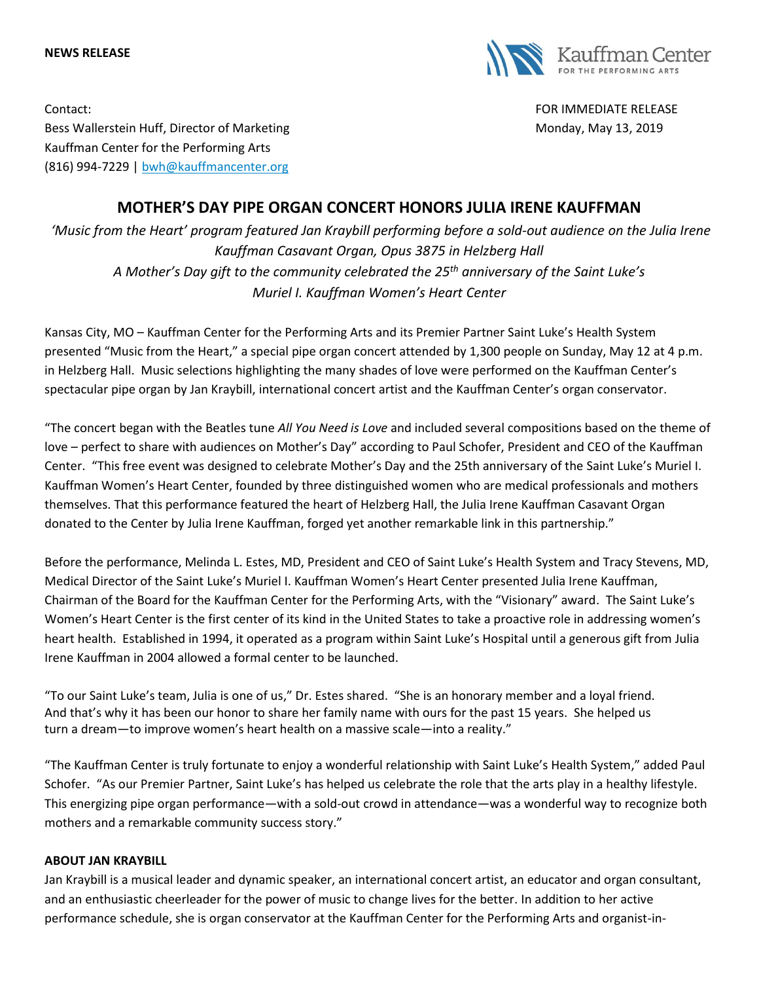#### **NEWS RELEASE**



Contact: FOR IMMEDIATE RELEASE Bess Wallerstein Huff, Director of Marketing Monday, May 13, 2019 Kauffman Center for the Performing Arts (816) 994-7229 | [bwh@kauffmancenter.org](mailto:bwh@kauffmancenter.org)

# **MOTHER'S DAY PIPE ORGAN CONCERT HONORS JULIA IRENE KAUFFMAN**

*'Music from the Heart' program featured Jan Kraybill performing before a sold-out audience on the Julia Irene Kauffman Casavant Organ, Opus 3875 in Helzberg Hall A Mother's Day gift to the community celebrated the 25th anniversary of the Saint Luke's Muriel I. Kauffman Women's Heart Center* 

Kansas City, MO – Kauffman Center for the Performing Arts and its Premier Partner Saint Luke's Health System presented "Music from the Heart," a special pipe organ concert attended by 1,300 people on Sunday, May 12 at 4 p.m. in Helzberg Hall. Music selections highlighting the many shades of love were performed on the Kauffman Center's spectacular pipe organ by Jan Kraybill, international concert artist and the Kauffman Center's organ conservator.

"The concert began with the Beatles tune *All You Need is Love* and included several compositions based on the theme of love – perfect to share with audiences on Mother's Day" according to Paul Schofer, President and CEO of the Kauffman Center. "This free event was designed to celebrate Mother's Day and the 25th anniversary of the Saint Luke's Muriel I. Kauffman Women's Heart Center, founded by three distinguished women who are medical professionals and mothers themselves. That this performance featured the heart of Helzberg Hall, the Julia Irene Kauffman Casavant Organ donated to the Center by Julia Irene Kauffman, forged yet another remarkable link in this partnership."

Before the performance, Melinda L. Estes, MD, President and CEO of Saint Luke's Health System and Tracy Stevens, MD, Medical Director of the Saint Luke's Muriel I. Kauffman Women's Heart Center presented Julia Irene Kauffman, Chairman of the Board for the Kauffman Center for the Performing Arts, with the "Visionary" award. The Saint Luke's Women's Heart Center is the first center of its kind in the United States to take a proactive role in addressing women's heart health. Established in 1994, it operated as a program within Saint Luke's Hospital until a generous gift from Julia Irene Kauffman in 2004 allowed a formal center to be launched.

"To our Saint Luke's team, Julia is one of us," Dr. Estes shared. "She is an honorary member and a loyal friend. And that's why it has been our honor to share her family name with ours for the past 15 years. She helped us turn a dream—to improve women's heart health on a massive scale—into a reality."

"The Kauffman Center is truly fortunate to enjoy a wonderful relationship with Saint Luke's Health System," added Paul Schofer. "As our Premier Partner, Saint Luke's has helped us celebrate the role that the arts play in a healthy lifestyle. This energizing pipe organ performance—with a sold-out crowd in attendance—was a wonderful way to recognize both mothers and a remarkable community success story."

#### **ABOUT JAN KRAYBILL**

Jan Kraybill is a musical leader and dynamic speaker, an international concert artist, an educator and organ consultant, and an enthusiastic cheerleader for the power of music to change lives for the better. In addition to her active performance schedule, she is organ conservator at the Kauffman Center for the Performing Arts and organist-in